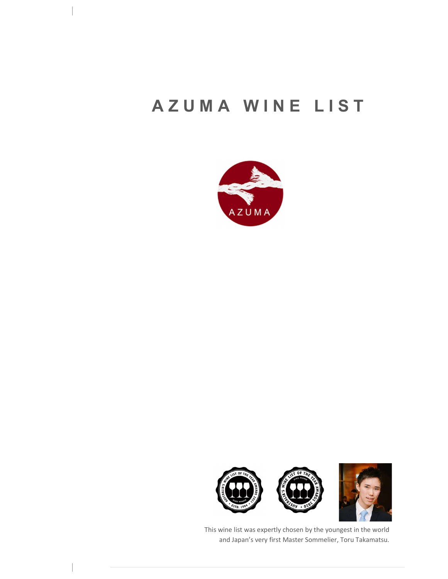# AZUMA WINE LIST





This wine list was expertly chosen by the youngest in the world and Japan's very first Master Sommelier, Toru Takamatsu.

 $\begin{array}{c} \hline \end{array}$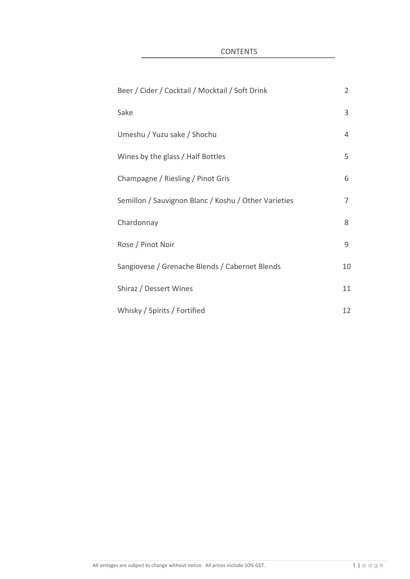**CONTENTS** 

| Beer / Cider / Cocktail / Mocktail / Soft Drink      | $\overline{2}$ |
|------------------------------------------------------|----------------|
| Sake                                                 | 3              |
| Umeshu / Yuzu sake / Shochu                          | 4              |
| Wines by the glass / Half Bottles                    | 5              |
| Champagne / Riesling / Pinot Gris                    | 6              |
| Semillon / Sauvignon Blanc / Koshu / Other Varieties | 7              |
| Chardonnay                                           | 8              |
| Rose / Pinot Noir                                    | 9              |
| Sangiovese / Grenache Blends / Cabernet Blends       | 10             |
| Shiraz / Dessert Wines                               | 11             |
| Whisky / Spirits / Fortified                         | 12             |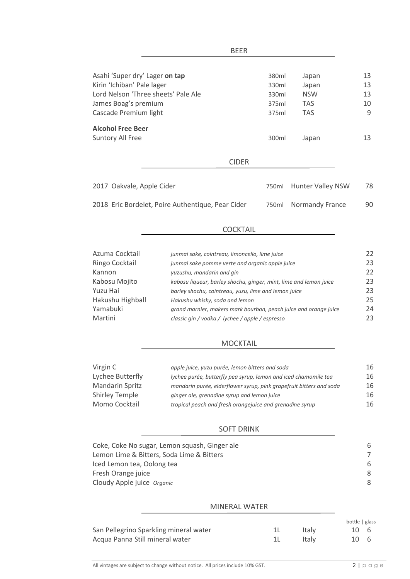| BEER                                                                                                                        |                                  |                                            |                      |
|-----------------------------------------------------------------------------------------------------------------------------|----------------------------------|--------------------------------------------|----------------------|
| Asahi 'Super dry' Lager on tap<br>Kirin 'Ichiban' Pale lager<br>Lord Nelson 'Three sheets' Pale Ale<br>James Boag's premium | 380ml<br>330ml<br>330ml<br>375ml | Japan<br>Japan<br><b>NSW</b><br><b>TAS</b> | 13<br>13<br>13<br>10 |
| Cascade Premium light                                                                                                       | 375ml                            | <b>TAS</b>                                 | 9                    |
| <b>Alcohol Free Beer</b><br>Suntory All Free                                                                                | 300ml                            | Japan                                      | 13                   |
| <b>CIDER</b>                                                                                                                |                                  |                                            |                      |
| 2017 Oakvale, Apple Cider                                                                                                   | 750ml                            | <b>Hunter Valley NSW</b>                   | 78                   |
| 2018 Eric Bordelet, Poire Authentique, Pear Cider                                                                           | 750ml                            | Normandy France                            | 90                   |
|                                                                                                                             |                                  |                                            |                      |

#### COCKTAIL

| Azuma Cocktail   | junmai sake, cointreau, limoncello, lime juice                    | 22 |
|------------------|-------------------------------------------------------------------|----|
| Ringo Cocktail   | junmai sake pomme verte and organic apple juice                   | 23 |
| Kannon           | yuzushu, mandarin and gin                                         | 22 |
| Kabosu Mojito    | kabosu liqueur, barley shochu, ginger, mint, lime and lemon juice | 23 |
| Yuzu Hai         | barley shochu, cointreau, yuzu, lime and lemon juice              | 23 |
| Hakushu Highball | Hakushu whisky, soda and lemon                                    | 25 |
| Yamabuki         | grand marnier, makers mark bourbon, peach juice and orange juice  | 24 |
| Martini          | classic gin / vodka / lychee / apple / espresso                   | 23 |

# MOCKTAIL

| Virgin C               | apple juice, yuzu purée, lemon bitters and soda                     | 16 |
|------------------------|---------------------------------------------------------------------|----|
| Lychee Butterfly       | lychee purée, butterfly pea syrup, lemon and iced chamomile tea     | 16 |
| <b>Mandarin Spritz</b> | mandarin purée, elderflower syrup, pink grapefruit bitters and soda | 16 |
| <b>Shirley Temple</b>  | ginger ale, grenadine syrup and lemon juice                         | 16 |
| Momo Cocktail          | tropical peach and fresh orangejuice and grenadine syrup            | 16 |

#### SOFT DRINK

#### MINERAL WATER

|                                        |       | bottle   glass |  |
|----------------------------------------|-------|----------------|--|
| San Pellegrino Sparkling mineral water | Italy | 10 6           |  |
| Acqua Panna Still mineral water        | Italy | 10 6           |  |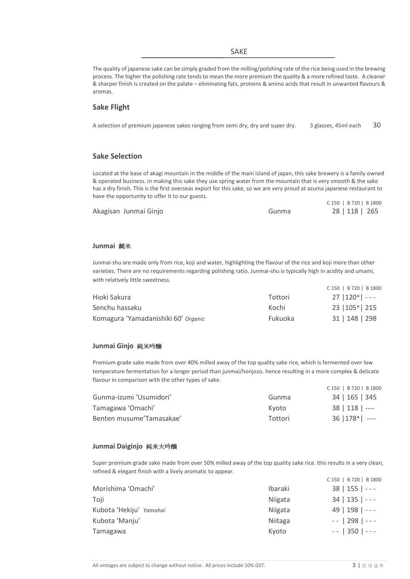#### SAKE

The quality of japanese sake can be simply graded from the milling/polishing rate of the rice being used in the brewing process. The higher the polishing rate tends to mean the more premium the quality & a more refined taste. A cleaner & sharper finish is created on the palate – eliminating fats, proteins & amino acids that result in unwanted flavours & aromas.

#### **Sake Flight**

A selection of premium japanese sakes ranging from semi dry, dry and super dry. 3 glasses, 45ml each 30

#### **Sake Selection**

Located at the base of akagi mountain in the middle of the main island of japan, this sake brewery is a family owned & operated business. in making this sake they use spring water from the mountain that is very smooth & the sake has a dry finish. This is the first overseas export for this sake, so we are very proud at azuma japanese restaurant to have the opportunity to offer it to our guests.

|                       |       | C 150   B 720   B 1800 |
|-----------------------|-------|------------------------|
| Akagisan Junmai Ginjo | Gunma | 28   118   265         |

#### **Junmai** 純米

Junmai-shu are made only from rice, koji and water, highlighting the flavour of the rice and koji more than other varieties. There are no requirements regarding polishing ratio. Junmai-shu is typically high in acidity and umami, with relatively little sweetness.

|                                     |         | C 150   B 720   B 1800 |
|-------------------------------------|---------|------------------------|
| Hioki Sakura                        | Tottori | $27  120* $ - - -      |
| Senchu hassaku                      | Kochi   | 23   105*   215        |
| Komagura 'Yamadanishiki 60' Organic | Fukuoka | 31   148   298         |

#### **Junmai Ginjo** 純米吟醸

Premium grade sake made from over 40% milled away of the top quality sake rice, which is fermented over low temperature fermentation for a longer period than junmai/honjozo. hence resulting in a more complex & delicate flavour in comparison with the other types of sake.

|                          |         | C 150   B 720   B 1800  |
|--------------------------|---------|-------------------------|
| Gunma-izumi 'Usumidori'  | Gunma   | 34   165   345          |
| Tamagawa 'Omachi'        | Kvoto   | $38 \mid 118 \mid$ ---- |
| Benten musume'Tamasakae' | Tottori | $36 178* $ ----         |

#### **Junmai Daiginjo** 純米大吟醸

Super premium grade sake made from over 50% milled away of the top quality sake rice. this results in a very clean, refined & elegant finish with a lively aromatic to appear. C 150 | B 720 | B 1800

|                         |         | $-00$ $-0$ $-0$ $-0$ $-0$ $-0$ |
|-------------------------|---------|--------------------------------|
| Morishima 'Omachi'      | Ibaraki | $38   155   --$                |
| Toji                    | Niigata | $34   135   --$                |
| Kubota 'Hekiju' Yamahai | Niigata | $49   198   --$                |
| Kubota 'Manju'          | Niitaga | $- - 298$   $- -$              |
| <b>Tamagawa</b>         | Kyoto   | $- - 350$   $- -$              |
|                         |         |                                |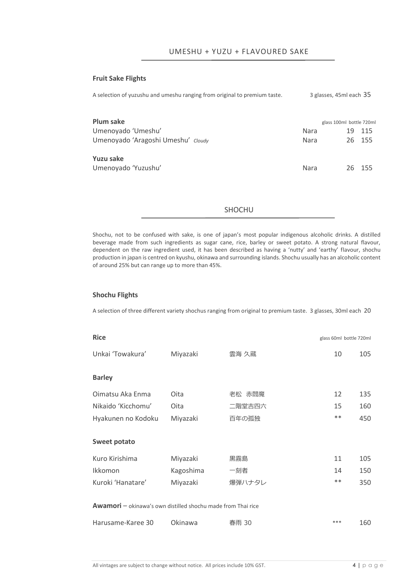#### **Fruit Sake Flights**

A selection of yuzushu and umeshu ranging from original to premium taste. 3 glasses, 45ml each 35 **Plum sake** glass 100ml bottle 720ml Umenoyado 'Umeshu' Nara 2008 | Nara 2015 Umenoyado 'Aragoshi Umeshu' *Cloudy* Nara 26 155 **Yuzu sake** Umenoyado 'Yuzushu' Nara 26 155

#### SHOCHU

Shochu, not to be confused with sake, is one of japan's most popular indigenous alcoholic drinks. A distilled beverage made from such ingredients as sugar cane, rice, barley or sweet potato. A strong natural flavour, dependent on the raw ingredient used, it has been described as having a 'nutty' and 'earthy' flavour, shochu production in japan is centred on kyushu, okinawa and surrounding islands. Shochu usually has an alcoholic content of around 25% but can range up to more than 45%.

#### **Shochu Flights**

A selection of three different variety shochus ranging from original to premium taste. 3 glasses, 30ml each 20

| <b>Rice</b>                                                         |           |        | glass 60ml bottle 720ml |     |
|---------------------------------------------------------------------|-----------|--------|-------------------------|-----|
| Unkai 'Towakura'                                                    | Miyazaki  | 雲海 久藏  | 10                      | 105 |
|                                                                     |           |        |                         |     |
| <b>Barley</b>                                                       |           |        |                         |     |
| Oimatsu Aka Enma                                                    | Oita      | 老松 赤閻魔 | 12                      | 135 |
| Nikaido 'Kicchomu'                                                  | Oita      | 二階堂吉四六 | 15                      | 160 |
| Hyakunen no Kodoku                                                  | Miyazaki  | 百年の孤独  | $**$                    | 450 |
|                                                                     |           |        |                         |     |
| <b>Sweet potato</b>                                                 |           |        |                         |     |
| Kuro Kirishima                                                      | Miyazaki  | 黒霧島    | 11                      | 105 |
| Ikkomon                                                             | Kagoshima | 一刻者    | 14                      | 150 |
| Kuroki 'Hanatare'                                                   | Miyazaki  | 爆弾ハナタレ | $**$                    | 350 |
|                                                                     |           |        |                         |     |
| <b>Awamori</b> – okinawa's own distilled shochu made from Thai rice |           |        |                         |     |
| Harusame-Karee 30                                                   | Okinawa   | 春雨 30  | ***                     | 160 |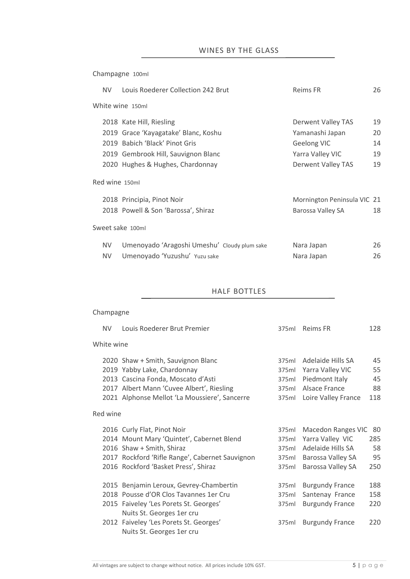Champagne 100ml

| NV.       | Louis Roederer Collection 242 Brut           | <b>Reims FR</b>             | 26 |
|-----------|----------------------------------------------|-----------------------------|----|
|           | White wine 150ml                             |                             |    |
|           | 2018 Kate Hill, Riesling                     | <b>Derwent Valley TAS</b>   | 19 |
|           | 2019 Grace 'Kayagatake' Blanc, Koshu         | Yamanashi Japan             | 20 |
|           | 2019 Babich 'Black' Pinot Gris               | <b>Geelong VIC</b>          | 14 |
|           | 2019 Gembrook Hill, Sauvignon Blanc          | Yarra Valley VIC            | 19 |
|           | 2020 Hughes & Hughes, Chardonnay             | Derwent Valley TAS          | 19 |
|           | Red wine 150ml                               |                             |    |
|           | 2018 Principia, Pinot Noir                   | Mornington Peninsula VIC 21 |    |
|           | 2018 Powell & Son 'Barossa', Shiraz          | Barossa Valley SA           | 18 |
|           | Sweet sake 100ml                             |                             |    |
| NV.       | Umenoyado 'Aragoshi Umeshu' Cloudy plum sake | Nara Japan                  | 26 |
| <b>NV</b> | Umenoyado 'Yuzushu' Yuzu sake                | Nara Japan                  | 26 |

# HALF BOTTLES

# Champagne

| <b>NV</b>  | Louis Roederer Brut Premier                                                                                                                                                                                                     | 375ml                                     | Reims FR                                                                                                     | 128                          |
|------------|---------------------------------------------------------------------------------------------------------------------------------------------------------------------------------------------------------------------------------|-------------------------------------------|--------------------------------------------------------------------------------------------------------------|------------------------------|
| White wine |                                                                                                                                                                                                                                 |                                           |                                                                                                              |                              |
|            | 2020 Shaw + Smith, Sauvignon Blanc<br>2019 Yabby Lake, Chardonnay<br>2013 Cascina Fonda, Moscato d'Asti<br>2017 Albert Mann 'Cuvee Albert', Riesling<br>2021 Alphonse Mellot 'La Moussiere', Sancerre                           | 375ml<br>375ml<br>375ml<br>375ml<br>375ml | Adelaide Hills SA<br>Yarra Valley VIC<br>Piedmont Italy<br>Alsace France<br>Loire Valley France              | 45<br>55<br>45<br>88<br>118  |
| Red wine   |                                                                                                                                                                                                                                 |                                           |                                                                                                              |                              |
|            | 2016 Curly Flat, Pinot Noir<br>2014 Mount Mary 'Quintet', Cabernet Blend<br>2016 Shaw + Smith, Shiraz<br>2017 Rockford 'Rifle Range', Cabernet Sauvignon<br>2016 Rockford 'Basket Press', Shiraz                                | 375ml<br>375ml<br>375ml<br>375ml<br>375ml | <b>Macedon Ranges VIC</b><br>Yarra Valley VIC<br>Adelaide Hills SA<br>Barossa Valley SA<br>Barossa Valley SA | 80<br>285<br>58<br>95<br>250 |
|            | 2015 Benjamin Leroux, Gevrey-Chambertin<br>2018 Pousse d'OR Clos Tavannes 1er Cru<br>2015 Faiveley 'Les Porets St. Georges'<br>Nuits St. Georges 1er cru<br>2012 Faiveley 'Les Porets St. Georges'<br>Nuits St. Georges 1er cru | 375ml<br>375ml<br>375ml<br>375ml          | <b>Burgundy France</b><br>Santenay France<br><b>Burgundy France</b><br><b>Burgundy France</b>                | 188<br>158<br>220<br>220     |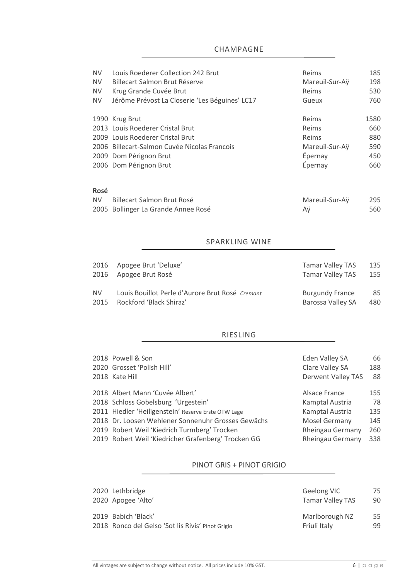# CHAMPAGNE

| NV.<br>NV.<br><b>NV</b><br><b>NV</b> | Louis Roederer Collection 242 Brut<br>Billecart Salmon Brut Réserve<br>Krug Grande Cuvée Brut<br>Jérôme Prévost La Closerie 'Les Béguines' LC17 | Reims<br>Mareuil-Sur-Ay<br>Reims<br>Gueux | 185<br>198<br>530<br>760 |
|--------------------------------------|-------------------------------------------------------------------------------------------------------------------------------------------------|-------------------------------------------|--------------------------|
|                                      | 1990 Krug Brut                                                                                                                                  | Reims                                     | 1580                     |
|                                      | 2013 Louis Roederer Cristal Brut                                                                                                                | Reims                                     | 660                      |
|                                      | 2009 Louis Roederer Cristal Brut                                                                                                                | Reims                                     | 880                      |
|                                      | 2006 Billecart-Salmon Cuvée Nicolas Francois                                                                                                    | Mareuil-Sur-Ay                            | 590                      |
|                                      | 2009 Dom Pérignon Brut                                                                                                                          | Épernay                                   | 450                      |
|                                      | 2006 Dom Pérignon Brut                                                                                                                          | Épernay                                   | 660                      |
| Rosé                                 |                                                                                                                                                 |                                           |                          |
| NV.                                  | Billecart Salmon Brut Rosé                                                                                                                      | Mareuil-Sur-Ay                            | 295                      |
|                                      | 2005 Bollinger La Grande Annee Rosé                                                                                                             | Αÿ                                        | 560                      |

#### SPARKLING WINE

|           | 2016 Apogee Brut 'Deluxe'                       | <b>Tamar Valley TAS</b> | 135 |
|-----------|-------------------------------------------------|-------------------------|-----|
|           | 2016 Apogee Brut Rosé                           | <b>Tamar Valley TAS</b> | 155 |
| <b>NV</b> | Louis Bouillot Perle d'Aurore Brut Rosé Cremant | <b>Burgundy France</b>  | 85  |
| 2015      | Rockford 'Black Shiraz'                         | Barossa Valley SA       | 480 |

# RIESLING

| Eden Valley SA                                                                                                                                                                                                                                                                                                                                                  | 66            |
|-----------------------------------------------------------------------------------------------------------------------------------------------------------------------------------------------------------------------------------------------------------------------------------------------------------------------------------------------------------------|---------------|
| Clare Valley SA                                                                                                                                                                                                                                                                                                                                                 | 188           |
| <b>Derwent Valley TAS</b>                                                                                                                                                                                                                                                                                                                                       | 88            |
|                                                                                                                                                                                                                                                                                                                                                                 |               |
|                                                                                                                                                                                                                                                                                                                                                                 | 155           |
| Kamptal Austria                                                                                                                                                                                                                                                                                                                                                 | 78            |
| Kamptal Austria                                                                                                                                                                                                                                                                                                                                                 | 135           |
| <b>Mosel Germany</b>                                                                                                                                                                                                                                                                                                                                            | 145           |
| <b>Rheingau Germany</b>                                                                                                                                                                                                                                                                                                                                         | 260           |
| <b>Rheingau Germany</b>                                                                                                                                                                                                                                                                                                                                         | 338           |
| 2018 Powell & Son<br>2020 Grosset 'Polish Hill'<br>2018 Kate Hill<br>2018 Albert Mann 'Cuvée Albert'<br>2018 Schloss Gobelsburg 'Urgestein'<br>2011 Hiedler 'Heiligenstein' Reserve Erste OTW Lage<br>2018 Dr. Loosen Wehlener Sonnenuhr Grosses Gewächs<br>2019 Robert Weil 'Kiedrich Turmberg' Trocken<br>2019 Robert Weil 'Kiedricher Grafenberg' Trocken GG | Alsace France |

# PINOT GRIS + PINOT GRIGIO

| 2020 Lethbridge<br>2020 Apogee 'Alto'             | Geelong VIC<br><b>Tamar Valley TAS</b> | 75<br>90 |
|---------------------------------------------------|----------------------------------------|----------|
| 2019 Babich 'Black'                               | Marlborough NZ                         | 55       |
| 2018 Ronco del Gelso 'Sot lis Rivis' Pinot Grigio | Friuli Italy                           | 99       |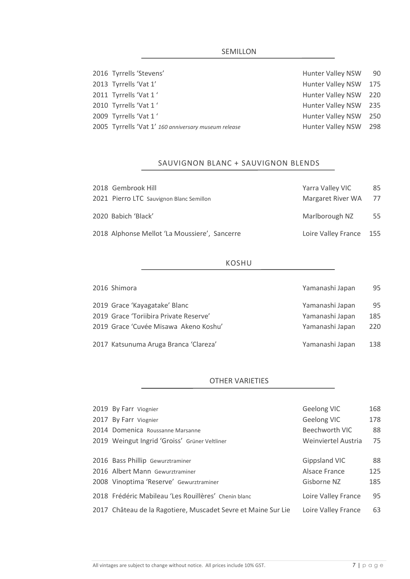# SEMILLON

| 2016 Tyrrells 'Stevens'                              | Hunter Valley NSW        | - 90 |
|------------------------------------------------------|--------------------------|------|
| 2013 Tyrrells 'Vat 1'                                | <b>Hunter Valley NSW</b> | 175  |
| 2011 Tyrrells 'Vat 1'                                | Hunter Valley NSW 220    |      |
| 2010 Tyrrells 'Vat 1'                                | Hunter Valley NSW 235    |      |
| 2009 Tyrrells 'Vat 1'                                | <b>Hunter Valley NSW</b> | 250  |
| 2005 Tyrrells 'Vat 1' 160 anniversary museum release | Hunter Valley NSW 298    |      |
|                                                      |                          |      |

# SAUVIGNON BLANC + SAUVIGNON BLENDS

| 2018 Gembrook Hill                            | Yarra Valley VIC        | 85  |
|-----------------------------------------------|-------------------------|-----|
| 2021 Pierro LTC Sauvignon Blanc Semillon      | Margaret River WA       | -77 |
| 2020 Babich 'Black'                           | Marlborough NZ          | 55  |
| 2018 Alphonse Mellot 'La Moussiere', Sancerre | Loire Valley France 155 |     |

#### KOSHU

| 2016 Shimora                           | Yamanashi Japan | 95  |
|----------------------------------------|-----------------|-----|
| 2019 Grace 'Kayagatake' Blanc          | Yamanashi Japan | 95  |
| 2019 Grace 'Toriibira Private Reserve' | Yamanashi Japan | 185 |
| 2019 Grace 'Cuvée Misawa Akeno Koshu'  | Yamanashi Japan | 220 |
| 2017 Katsunuma Aruga Branca 'Clareza'  | Yamanashi Japan | 138 |

# OTHER VARIETIES

| 2019 By Farr Viognier                                         | Geelong VIC          | 168 |
|---------------------------------------------------------------|----------------------|-----|
| 2017 By Farr Viognier                                         | Geelong VIC          | 178 |
| 2014 Domenica Roussanne Marsanne                              | Beechworth VIC       | 88  |
| 2019 Weingut Ingrid 'Groiss' Grüner Veltliner                 | Weinviertel Austria  | 75  |
|                                                               |                      |     |
| 2016 Bass Phillip Gewurztraminer                              | <b>Gippsland VIC</b> | 88  |
| 2016 Albert Mann Gewurztraminer                               | Alsace France        | 125 |
| 2008 Vinoptima 'Reserve' Gewurztraminer                       | Gisborne NZ          | 185 |
| 2018 Frédéric Mabileau 'Les Rouillères' Chenin blanc          | Loire Valley France  | 95  |
| 2017 Château de la Ragotiere, Muscadet Sevre et Maine Sur Lie | Loire Valley France  | 63  |
|                                                               |                      |     |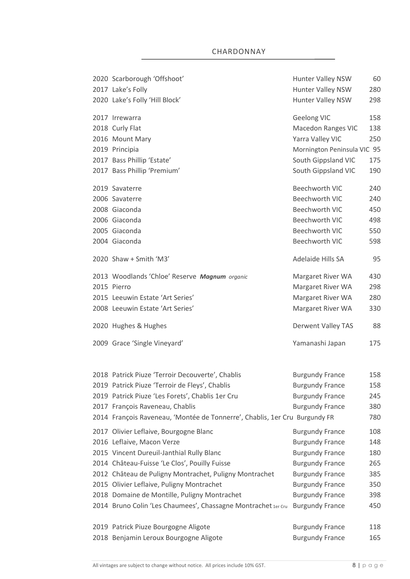| 2020 Scarborough 'Offshoot'                                                | Hunter Valley NSW           | 60  |
|----------------------------------------------------------------------------|-----------------------------|-----|
| 2017 Lake's Folly                                                          | Hunter Valley NSW           | 280 |
| 2020 Lake's Folly 'Hill Block'                                             | Hunter Valley NSW           | 298 |
| 2017 Irrewarra                                                             | Geelong VIC                 | 158 |
| 2018 Curly Flat                                                            | <b>Macedon Ranges VIC</b>   | 138 |
| 2016 Mount Mary                                                            | Yarra Valley VIC            | 250 |
| 2019 Principia                                                             | Mornington Peninsula VIC 95 |     |
| 2017 Bass Phillip 'Estate'                                                 | South Gippsland VIC         | 175 |
| 2017 Bass Phillip 'Premium'                                                | South Gippsland VIC         | 190 |
| 2019 Savaterre                                                             | <b>Beechworth VIC</b>       | 240 |
| 2006 Savaterre                                                             | <b>Beechworth VIC</b>       | 240 |
| 2008 Giaconda                                                              | <b>Beechworth VIC</b>       | 450 |
| 2006 Giaconda                                                              | <b>Beechworth VIC</b>       | 498 |
| 2005 Giaconda                                                              | <b>Beechworth VIC</b>       | 550 |
| 2004 Giaconda                                                              | <b>Beechworth VIC</b>       | 598 |
| 2020 Shaw + Smith 'M3'                                                     | Adelaide Hills SA           | 95  |
| 2013 Woodlands 'Chloe' Reserve Magnum organic                              | Margaret River WA           | 430 |
| 2015 Pierro                                                                | Margaret River WA           | 298 |
| 2015 Leeuwin Estate 'Art Series'                                           | Margaret River WA           | 280 |
| 2008 Leeuwin Estate 'Art Series'                                           | Margaret River WA           | 330 |
| 2020 Hughes & Hughes                                                       | <b>Derwent Valley TAS</b>   | 88  |
| 2009 Grace 'Single Vineyard'                                               | Yamanashi Japan             | 175 |
|                                                                            |                             |     |
| 2018 Patrick Piuze 'Terroir Decouverte', Chablis                           | <b>Burgundy France</b>      | 158 |
| 2019 Patrick Piuze 'Terroir de Fleys', Chablis                             | <b>Burgundy France</b>      | 158 |
| 2019 Patrick Piuze 'Les Forets', Chablis 1er Cru                           | <b>Burgundy France</b>      | 245 |
| 2017 François Raveneau, Chablis                                            | <b>Burgundy France</b>      | 380 |
| 2014 François Raveneau, 'Montée de Tonnerre', Chablis, 1er Cru Burgundy FR |                             | 780 |
| 2017 Olivier Leflaive, Bourgogne Blanc                                     | <b>Burgundy France</b>      | 108 |
| 2016 Leflaive, Macon Verze                                                 | <b>Burgundy France</b>      | 148 |
| 2015 Vincent Dureuil-Janthial Rully Blanc                                  | <b>Burgundy France</b>      | 180 |
| 2014 Château-Fuisse 'Le Clos', Pouilly Fuisse                              | <b>Burgundy France</b>      | 265 |
| 2012 Château de Puligny Montrachet, Puligny Montrachet                     | <b>Burgundy France</b>      | 385 |
| 2015 Olivier Leflaive, Puligny Montrachet                                  | <b>Burgundy France</b>      | 350 |
| 2018 Domaine de Montille, Puligny Montrachet                               | <b>Burgundy France</b>      | 398 |
| 2014 Bruno Colin 'Les Chaumees', Chassagne Montrachet 1er Cru              | <b>Burgundy France</b>      | 450 |
| 2019 Patrick Piuze Bourgogne Aligote                                       | <b>Burgundy France</b>      | 118 |
| 2018 Benjamin Leroux Bourgogne Aligote                                     | <b>Burgundy France</b>      | 165 |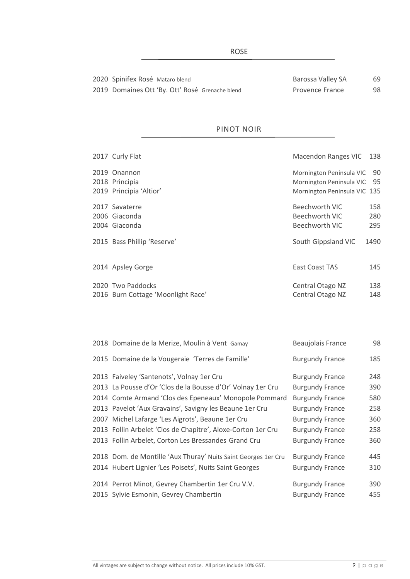| 2020 Spinifex Rosé Mataro blend                 | Baros        |
|-------------------------------------------------|--------------|
| 2019 Domaines Ott 'By. Ott' Rosé Grenache blend | <b>Prove</b> |

# PINOT NOIR

| 2017 Curly Flat                    | Macendon Ranges VIC 138      |      |
|------------------------------------|------------------------------|------|
| 2019 Onannon                       | Mornington Peninsula VIC     | 90   |
| 2018 Principia                     | Mornington Peninsula VIC 95  |      |
| 2019 Principia 'Altior'            | Mornington Peninsula VIC 135 |      |
| 2017 Savaterre                     | Beechworth VIC               | 158  |
| 2006 Giaconda                      | Beechworth VIC               | 280  |
| 2004 Giaconda                      | Beechworth VIC               | 295  |
| 2015 Bass Phillip 'Reserve'        | South Gippsland VIC          | 1490 |
| 2014 Apsley Gorge                  | <b>East Coast TAS</b>        | 145  |
| 2020 Two Paddocks                  | Central Otago NZ             | 138  |
| 2016 Burn Cottage 'Moonlight Race' | Central Otago NZ             | 148  |

| 2018 Domaine de la Merize, Moulin à Vent Gamay                 | <b>Beaujolais France</b> | 98  |
|----------------------------------------------------------------|--------------------------|-----|
| 2015 Domaine de la Vougeraie 'Terres de Famille'               | <b>Burgundy France</b>   | 185 |
| 2013 Faiveley 'Santenots', Volnay 1er Cru                      | <b>Burgundy France</b>   | 248 |
| 2013 La Pousse d'Or 'Clos de la Bousse d'Or' Volnay 1er Cru    | <b>Burgundy France</b>   | 390 |
| 2014 Comte Armand 'Clos des Epeneaux' Monopole Pommard         | <b>Burgundy France</b>   | 580 |
| 2013 Pavelot 'Aux Gravains', Savigny les Beaune 1er Cru        | <b>Burgundy France</b>   | 258 |
| 2007 Michel Lafarge 'Les Aigrots', Beaune 1er Cru              | <b>Burgundy France</b>   | 360 |
| 2013 Follin Arbelet 'Clos de Chapitre', Aloxe-Corton 1er Cru   | <b>Burgundy France</b>   | 258 |
| 2013 Follin Arbelet, Corton Les Bressandes Grand Cru           | <b>Burgundy France</b>   | 360 |
| 2018 Dom. de Montille 'Aux Thuray' Nuits Saint Georges 1er Cru | <b>Burgundy France</b>   | 445 |
| 2014 Hubert Lignier 'Les Poisets', Nuits Saint Georges         | <b>Burgundy France</b>   | 310 |
| 2014 Perrot Minot, Gevrey Chambertin 1er Cru V.V.              | <b>Burgundy France</b>   | 390 |
|                                                                |                          |     |
| 2015 Sylvie Esmonin, Gevrey Chambertin                         | <b>Burgundy France</b>   | 455 |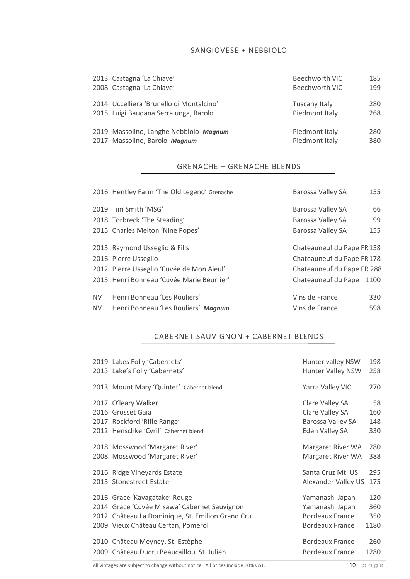SANGIOVESE + NEBBIOLO

| 2013 Castagna 'La Chiave'                | Beechworth VIC | 185 |
|------------------------------------------|----------------|-----|
| 2008 Castagna 'La Chiave'                | Beechworth VIC | 199 |
| 2014 Uccelliera 'Brunello di Montalcino' | Tuscany Italy  | 280 |
| 2015 Luigi Baudana Serralunga, Barolo    | Piedmont Italy | 268 |
| 2019 Massolino, Langhe Nebbiolo Magnum   | Piedmont Italy | 280 |
| 2017 Massolino, Barolo Magnum            | Piedmont Italy | 380 |

### GRENACHE + GRENACHE BLENDS

|           | 2016 Hentley Farm 'The Old Legend' Grenache | Barossa Valley SA          | 155 |  |
|-----------|---------------------------------------------|----------------------------|-----|--|
|           | 2019 Tim Smith 'MSG'                        | Barossa Valley SA          | 66  |  |
|           | 2018 Torbreck 'The Steading'                | Barossa Valley SA          | 99  |  |
|           | 2015 Charles Melton 'Nine Popes'            | Barossa Valley SA          | 155 |  |
|           | 2015 Raymond Usseglio & Fills               | Chateauneuf du Pape FR158  |     |  |
|           | 2016 Pierre Usseglio                        | Chateauneuf du Pape FR178  |     |  |
|           | 2012 Pierre Usseglio 'Cuvée de Mon Aieul'   | Chateauneuf du Pape FR 288 |     |  |
|           | 2015 Henri Bonneau 'Cuvée Marie Beurrier'   | Chateauneuf du Pape 1100   |     |  |
| <b>NV</b> | Henri Bonneau 'Les Rouliers'                | Vins de France             | 330 |  |
| NV.       | Henri Bonneau 'Les Rouliers' Magnum         | Vins de France             | 598 |  |

# CABERNET SAUVIGNON + CABERNET BLENDS

|  | 2019 Lakes Folly 'Cabernets'                     | Hunter valley NSW        | 198  |
|--|--------------------------------------------------|--------------------------|------|
|  | 2013 Lake's Folly 'Cabernets'                    | <b>Hunter Valley NSW</b> | 258  |
|  | 2013 Mount Mary 'Quintet' Cabernet blend         | Yarra Valley VIC         | 270  |
|  | 2017 O'leary Walker                              | Clare Valley SA          | 58   |
|  | 2016 Grosset Gaia                                | Clare Valley SA          | 160  |
|  | 2017 Rockford 'Rifle Range'                      | Barossa Valley SA        | 148  |
|  | 2012 Henschke 'Cyril' Cabernet blend             | Eden Valley SA           | 330  |
|  | 2018 Mosswood 'Margaret River'                   | Margaret River WA        | 280  |
|  | 2008 Mosswood 'Margaret River'                   | Margaret River WA        | 388  |
|  | 2016 Ridge Vineyards Estate                      | Santa Cruz Mt. US        | 295  |
|  | 2015 Stonestreet Estate                          | Alexander Valley US      | 175  |
|  | 2016 Grace 'Kayagatake' Rouge                    | Yamanashi Japan          | 120  |
|  | 2014 Grace 'Cuvée Misawa' Cabernet Sauvignon     | Yamanashi Japan          | 360  |
|  | 2012 Château La Dominique, St. Emilion Grand Cru | <b>Bordeaux France</b>   | 350  |
|  | 2009 Vieux Château Certan, Pomerol               | Bordeaux France          | 1180 |
|  | 2010 Château Meyney, St. Estèphe                 | <b>Bordeaux France</b>   | 260  |
|  | 2009 Château Ducru Beaucaillou, St. Julien       | Bordeaux France          | 1280 |
|  |                                                  |                          |      |

All vintages are subject to change without notice. All prices include 10% GST. 10  $\mid$  p a g e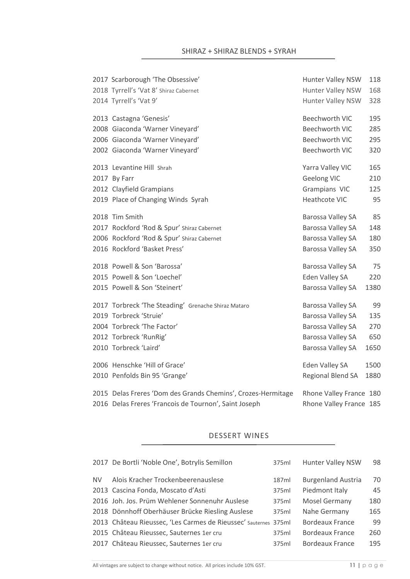| 2017 Scarborough 'The Obsessive'                             | Hunter Valley NSW       | 118  |
|--------------------------------------------------------------|-------------------------|------|
| 2018 Tyrrell's 'Vat 8' Shiraz Cabernet<br>Hunter Valley NSW  |                         | 168  |
| 2014 Tyrrell's 'Vat 9'                                       | Hunter Valley NSW       | 328  |
| 2013 Castagna 'Genesis'                                      | <b>Beechworth VIC</b>   | 195  |
| 2008 Giaconda 'Warner Vineyard'                              | <b>Beechworth VIC</b>   | 285  |
| 2006 Giaconda 'Warner Vineyard'                              | <b>Beechworth VIC</b>   | 295  |
| 2002 Giaconda 'Warner Vineyard'                              | <b>Beechworth VIC</b>   | 320  |
| 2013 Levantine Hill Shrah                                    | Yarra Valley VIC        | 165  |
| 2017 By Farr                                                 | <b>Geelong VIC</b>      | 210  |
| 2012 Clayfield Grampians                                     | Grampians VIC           | 125  |
| 2019 Place of Changing Winds Syrah                           | Heathcote VIC           | 95   |
| 2018 Tim Smith                                               | Barossa Valley SA       | 85   |
| 2017 Rockford 'Rod & Spur' Shiraz Cabernet                   | Barossa Valley SA       | 148  |
| 2006 Rockford 'Rod & Spur' Shiraz Cabernet                   | Barossa Valley SA       | 180  |
| 2016 Rockford 'Basket Press'                                 | Barossa Valley SA       | 350  |
| 2018 Powell & Son 'Barossa'                                  | Barossa Valley SA       | 75   |
| 2015 Powell & Son 'Loechel'                                  | Eden Valley SA          | 220  |
| 2015 Powell & Son 'Steinert'                                 | Barossa Valley SA       | 1380 |
| 2017 Torbreck 'The Steading' Grenache Shiraz Mataro          | Barossa Valley SA       | 99   |
| 2019 Torbreck 'Struie'                                       | Barossa Valley SA       | 135  |
| 2004 Torbreck 'The Factor'                                   | Barossa Valley SA       | 270  |
| 2012 Torbreck 'RunRig'                                       | Barossa Valley SA       | 650  |
| 2010 Torbreck 'Laird'                                        | Barossa Valley SA       | 1650 |
| 2006 Henschke 'Hill of Grace'                                | Eden Valley SA          | 1500 |
| 2010 Penfolds Bin 95 'Grange'                                | Regional Blend SA       | 1880 |
| 2015 Delas Freres 'Dom des Grands Chemins', Crozes-Hermitage | Rhone Valley France 180 |      |
| 2016 Delas Freres 'Francois de Tournon', Saint Joseph        | Rhone Valley France 185 |      |

# DESSERT WINES

|     | 2017 De Bortli 'Noble One', Botrylis Semillon                   | 375ml | <b>Hunter Valley NSW</b>  | 98  |
|-----|-----------------------------------------------------------------|-------|---------------------------|-----|
| NV. | Alois Kracher Trockenbeerenauslese                              | 187ml | <b>Burgenland Austria</b> | 70  |
|     | 2013 Cascina Fonda, Moscato d'Asti                              | 375ml | Piedmont Italy            | 45  |
|     | 2016 Joh. Jos. Prüm Wehlener Sonnenuhr Auslese                  | 375ml | <b>Mosel Germany</b>      | 180 |
|     | 2018 Dönnhoff Oberhäuser Brücke Riesling Auslese                | 375ml | Nahe Germany              | 165 |
|     | 2013 Château Rieussec, 'Les Carmes de Rieussec' sauternes 375ml |       | <b>Bordeaux France</b>    | 99  |
|     | 2015 Château Rieussec, Sauternes 1er cru                        | 375ml | Bordeaux France           | 260 |
|     | 2017 Château Rieussec, Sauternes 1er cru                        | 375ml | Bordeaux France           | 195 |
|     |                                                                 |       |                           |     |

All vintages are subject to change without notice. All prices include 10% GST.  $11 | p \alpha \text{ g} e$